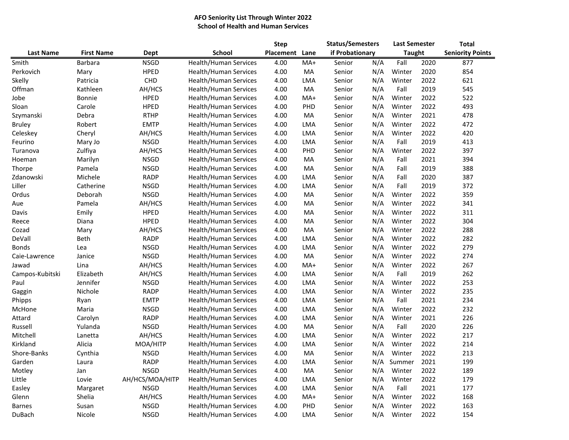## **AFO Seniority List Through Winter 2022 School of Health and Human Services**

|                  |                   |                 |                              | <b>Step</b> |       | <b>Status/Semesters</b> |     | <b>Last Semester</b> |      | <b>Total</b>            |  |
|------------------|-------------------|-----------------|------------------------------|-------------|-------|-------------------------|-----|----------------------|------|-------------------------|--|
| <b>Last Name</b> | <b>First Name</b> | Dept            | School                       | Placement   | Lane  | if Probationary         |     | <b>Taught</b>        |      | <b>Seniority Points</b> |  |
| Smith            | Barbara           | <b>NSGD</b>     | Health/Human Services        | 4.00        | MA+   | Senior                  | N/A | Fall                 | 2020 | 877                     |  |
| Perkovich        | Mary              | <b>HPED</b>     | Health/Human Services        | 4.00        | MA    | Senior                  | N/A | Winter               | 2020 | 854                     |  |
| Skelly           | Patricia          | <b>CHD</b>      | Health/Human Services        | 4.00        | LMA   | Senior                  | N/A | Winter               | 2022 | 621                     |  |
| Offman           | Kathleen          | AH/HCS          | <b>Health/Human Services</b> | 4.00        | MA    | Senior                  | N/A | Fall                 | 2019 | 545                     |  |
| Jobe             | Bonnie            | <b>HPED</b>     | Health/Human Services        | 4.00        | MA+   | Senior                  | N/A | Winter               | 2022 | 522                     |  |
| Sloan            | Carole            | <b>HPED</b>     | Health/Human Services        | 4.00        | PHD   | Senior                  | N/A | Winter               | 2022 | 493                     |  |
| Szymanski        | Debra             | <b>RTHP</b>     | Health/Human Services        | 4.00        | MA    | Senior                  | N/A | Winter               | 2021 | 478                     |  |
| <b>Bruley</b>    | Robert            | <b>EMTP</b>     | Health/Human Services        | 4.00        | LMA   | Senior                  | N/A | Winter               | 2022 | 472                     |  |
| Celeskey         | Cheryl            | AH/HCS          | Health/Human Services        | 4.00        | LMA   | Senior                  | N/A | Winter               | 2022 | 420                     |  |
| Feurino          | Mary Jo           | <b>NSGD</b>     | Health/Human Services        | 4.00        | LMA   | Senior                  | N/A | Fall                 | 2019 | 413                     |  |
| Turanova         | Zulfiya           | AH/HCS          | Health/Human Services        | 4.00        | PHD   | Senior                  | N/A | Winter               | 2022 | 397                     |  |
| Hoeman           | Marilyn           | <b>NSGD</b>     | Health/Human Services        | 4.00        | MA    | Senior                  | N/A | Fall                 | 2021 | 394                     |  |
| Thorpe           | Pamela            | <b>NSGD</b>     | Health/Human Services        | 4.00        | MA    | Senior                  | N/A | Fall                 | 2019 | 388                     |  |
| Zdanowski        | Michele           | <b>RADP</b>     | Health/Human Services        | 4.00        | LMA   | Senior                  | N/A | Fall                 | 2020 | 387                     |  |
| Liller           | Catherine         | <b>NSGD</b>     | Health/Human Services        | 4.00        | LMA   | Senior                  | N/A | Fall                 | 2019 | 372                     |  |
| Ordus            | Deborah           | <b>NSGD</b>     | Health/Human Services        | 4.00        | MA    | Senior                  | N/A | Winter               | 2022 | 359                     |  |
| Aue              | Pamela            | AH/HCS          | Health/Human Services        | 4.00        | MA    | Senior                  | N/A | Winter               | 2022 | 341                     |  |
| Davis            | Emily             | <b>HPED</b>     | Health/Human Services        | 4.00        | MA    | Senior                  | N/A | Winter               | 2022 | 311                     |  |
| Reece            | Diana             | <b>HPED</b>     | Health/Human Services        | 4.00        | MA    | Senior                  | N/A | Winter               | 2022 | 304                     |  |
| Cozad            | Mary              | AH/HCS          | Health/Human Services        | 4.00        | MA    | Senior                  | N/A | Winter               | 2022 | 288                     |  |
| DeVall           | Beth              | <b>RADP</b>     | Health/Human Services        | 4.00        | LMA   | Senior                  | N/A | Winter               | 2022 | 282                     |  |
| <b>Bonds</b>     | Lea               | <b>NSGD</b>     | Health/Human Services        | 4.00        | LMA   | Senior                  | N/A | Winter               | 2022 | 279                     |  |
| Caie-Lawrence    | Janice            | <b>NSGD</b>     | Health/Human Services        | 4.00        | MA    | Senior                  | N/A | Winter               | 2022 | 274                     |  |
| Jawad            | Lina              | AH/HCS          | Health/Human Services        | 4.00        | $MA+$ | Senior                  | N/A | Winter               | 2022 | 267                     |  |
| Campos-Kubitski  | Elizabeth         | AH/HCS          | Health/Human Services        | 4.00        | LMA   | Senior                  | N/A | Fall                 | 2019 | 262                     |  |
| Paul             | Jennifer          | <b>NSGD</b>     | Health/Human Services        | 4.00        | LMA   | Senior                  | N/A | Winter               | 2022 | 253                     |  |
| Gaggin           | Nichole           | <b>RADP</b>     | Health/Human Services        | 4.00        | LMA   | Senior                  | N/A | Winter               | 2022 | 235                     |  |
| Phipps           | Ryan              | <b>EMTP</b>     | Health/Human Services        | 4.00        | LMA   | Senior                  | N/A | Fall                 | 2021 | 234                     |  |
| McHone           | Maria             | <b>NSGD</b>     | Health/Human Services        | 4.00        | LMA   | Senior                  | N/A | Winter               | 2022 | 232                     |  |
| Attard           | Carolyn           | <b>RADP</b>     | Health/Human Services        | 4.00        | LMA   | Senior                  | N/A | Winter               | 2021 | 226                     |  |
| Russell          | Yulanda           | <b>NSGD</b>     | Health/Human Services        | 4.00        | MA    | Senior                  | N/A | Fall                 | 2020 | 226                     |  |
| Mitchell         | Lanetta           | AH/HCS          | Health/Human Services        | 4.00        | LMA   | Senior                  | N/A | Winter               | 2022 | 217                     |  |
| Kirkland         | Alicia            | MOA/HITP        | Health/Human Services        | 4.00        | LMA   | Senior                  | N/A | Winter               | 2022 | 214                     |  |
| Shore-Banks      | Cynthia           | <b>NSGD</b>     | Health/Human Services        | 4.00        | MA    | Senior                  | N/A | Winter               | 2022 | 213                     |  |
| Garden           | Laura             | <b>RADP</b>     | Health/Human Services        | 4.00        | LMA   | Senior                  | N/A | Summer               | 2021 | 199                     |  |
| Motley           | Jan               | <b>NSGD</b>     | Health/Human Services        | 4.00        | MA    | Senior                  | N/A | Winter               | 2022 | 189                     |  |
| Little           | Lovie             | AH/HCS/MOA/HITP | Health/Human Services        | 4.00        | LMA   | Senior                  | N/A | Winter               | 2022 | 179                     |  |
| Easley           | Margaret          | <b>NSGD</b>     | Health/Human Services        | 4.00        | LMA   | Senior                  | N/A | Fall                 | 2021 | 177                     |  |
| Glenn            | Shelia            | AH/HCS          | Health/Human Services        | 4.00        | MA+   | Senior                  | N/A | Winter               | 2022 | 168                     |  |
| <b>Barnes</b>    | Susan             | <b>NSGD</b>     | Health/Human Services        | 4.00        | PHD   | Senior                  | N/A | Winter               | 2022 | 163                     |  |
| DuBach           | Nicole            | <b>NSGD</b>     | Health/Human Services        | 4.00        | LMA   | Senior                  | N/A | Winter               | 2022 | 154                     |  |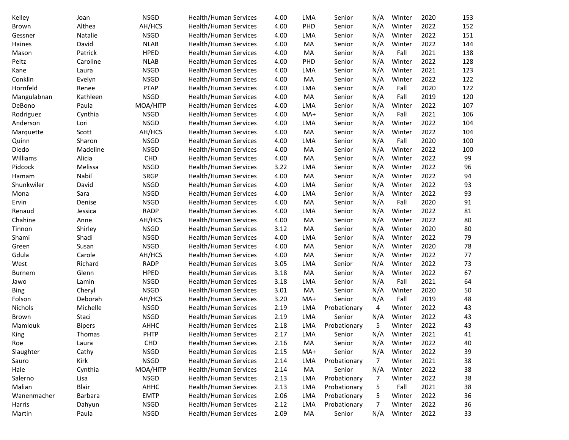| Kelley        | Joan          | <b>NSGD</b> | Health/Human Services        | 4.00 | <b>LMA</b> | Senior       | N/A | Winter | 2020 | 153 |
|---------------|---------------|-------------|------------------------------|------|------------|--------------|-----|--------|------|-----|
| Brown         | Althea        | AH/HCS      | <b>Health/Human Services</b> | 4.00 | PHD        | Senior       | N/A | Winter | 2022 | 152 |
| Gessner       | Natalie       | <b>NSGD</b> | Health/Human Services        | 4.00 | LMA        | Senior       | N/A | Winter | 2022 | 151 |
| Haines        | David         | <b>NLAB</b> | Health/Human Services        | 4.00 | MA         | Senior       | N/A | Winter | 2022 | 144 |
| Mason         | Patrick       | HPED        | Health/Human Services        | 4.00 | MA         | Senior       | N/A | Fall   | 2021 | 138 |
| Peltz         | Caroline      | <b>NLAB</b> | Health/Human Services        | 4.00 | PHD        | Senior       | N/A | Winter | 2022 | 128 |
| Kane          | Laura         | <b>NSGD</b> | Health/Human Services        | 4.00 | <b>LMA</b> | Senior       | N/A | Winter | 2021 | 123 |
| Conklin       | Evelyn        | <b>NSGD</b> | Health/Human Services        | 4.00 | MA         | Senior       | N/A | Winter | 2022 | 122 |
| Hornfeld      | Renee         | <b>PTAP</b> | Health/Human Services        | 4.00 | <b>LMA</b> | Senior       | N/A | Fall   | 2020 | 122 |
| Mangulabnan   | Kathleen      | <b>NSGD</b> | Health/Human Services        | 4.00 | MA         | Senior       | N/A | Fall   | 2019 | 120 |
| DeBono        | Paula         | MOA/HITP    | <b>Health/Human Services</b> | 4.00 | <b>LMA</b> | Senior       | N/A | Winter | 2022 | 107 |
| Rodriguez     | Cynthia       | <b>NSGD</b> | Health/Human Services        | 4.00 | MA+        | Senior       | N/A | Fall   | 2021 | 106 |
| Anderson      | Lori          | <b>NSGD</b> | Health/Human Services        | 4.00 | <b>LMA</b> | Senior       | N/A | Winter | 2022 | 104 |
| Marquette     | Scott         | AH/HCS      | Health/Human Services        | 4.00 | MA         | Senior       | N/A | Winter | 2022 | 104 |
| Quinn         | Sharon        | <b>NSGD</b> | Health/Human Services        | 4.00 | <b>LMA</b> | Senior       | N/A | Fall   | 2020 | 100 |
| Diedo         | Madeline      | <b>NSGD</b> | Health/Human Services        | 4.00 | MA         | Senior       | N/A | Winter | 2022 | 100 |
| Williams      | Alicia        | CHD         | Health/Human Services        | 4.00 | MA         | Senior       | N/A | Winter | 2022 | 99  |
| Pidcock       | Melissa       | <b>NSGD</b> | Health/Human Services        | 3.22 | <b>LMA</b> | Senior       | N/A | Winter | 2022 | 96  |
| Hamam         | Nabil         | <b>SRGP</b> | Health/Human Services        | 4.00 | MA         | Senior       | N/A | Winter | 2022 | 94  |
| Shunkwiler    | David         | <b>NSGD</b> | Health/Human Services        | 4.00 | <b>LMA</b> | Senior       | N/A | Winter | 2022 | 93  |
| Mona          | Sara          | <b>NSGD</b> | Health/Human Services        | 4.00 | LMA        | Senior       | N/A | Winter | 2022 | 93  |
| Ervin         | Denise        | <b>NSGD</b> | Health/Human Services        | 4.00 | MA         | Senior       | N/A | Fall   | 2020 | 91  |
| Renaud        | Jessica       | <b>RADP</b> | Health/Human Services        | 4.00 | <b>LMA</b> | Senior       | N/A | Winter | 2022 | 81  |
| Chahine       | Anne          | AH/HCS      | Health/Human Services        | 4.00 | MA         | Senior       | N/A | Winter | 2022 | 80  |
| Tinnon        | Shirley       | <b>NSGD</b> | Health/Human Services        | 3.12 | MA         | Senior       | N/A | Winter | 2020 | 80  |
| Shami         | Shadi         | <b>NSGD</b> | Health/Human Services        | 4.00 | <b>LMA</b> | Senior       | N/A | Winter | 2022 | 79  |
| Green         | Susan         | <b>NSGD</b> | Health/Human Services        | 4.00 | MA         | Senior       | N/A | Winter | 2020 | 78  |
| Gdula         | Carole        | AH/HCS      | Health/Human Services        | 4.00 | MA         | Senior       | N/A | Winter | 2022 | 77  |
| West          | Richard       | <b>RADP</b> | Health/Human Services        | 3.05 | <b>LMA</b> | Senior       | N/A | Winter | 2022 | 73  |
| <b>Burnem</b> | Glenn         | <b>HPED</b> | Health/Human Services        | 3.18 | MA         | Senior       | N/A | Winter | 2022 | 67  |
| Jawo          | Lamin         | <b>NSGD</b> | Health/Human Services        | 3.18 | LMA        | Senior       | N/A | Fall   | 2021 | 64  |
| <b>Bing</b>   | Cheryl        | <b>NSGD</b> | Health/Human Services        | 3.01 | MA         | Senior       | N/A | Winter | 2020 | 50  |
| Folson        | Deborah       | AH/HCS      | Health/Human Services        | 3.20 | MA+        | Senior       | N/A | Fall   | 2019 | 48  |
| Nichols       | Michelle      | <b>NSGD</b> | Health/Human Services        | 2.19 | <b>LMA</b> | Probationary | 4   | Winter | 2022 | 43  |
| Brown         | Staci         | <b>NSGD</b> | Health/Human Services        | 2.19 | <b>LMA</b> | Senior       | N/A | Winter | 2022 | 43  |
| Mamlouk       | <b>Bipers</b> | AHHC        | <b>Health/Human Services</b> | 2.18 | <b>LMA</b> | Probationary | 5   | Winter | 2022 | 43  |
| King          | Thomas        | <b>PHTP</b> | Health/Human Services        | 2.17 | LMA        | Senior       | N/A | Winter | 2021 | 41  |
| Roe           | Laura         | CHD         | Health/Human Services        | 2.16 | MA         | Senior       | N/A | Winter | 2022 | 40  |
| Slaughter     | Cathy         | <b>NSGD</b> | Health/Human Services        | 2.15 | MA+        | Senior       | N/A | Winter | 2022 | 39  |
| Sauro         | Kirk          | <b>NSGD</b> | Health/Human Services        | 2.14 | LMA        | Probationary | 7   | Winter | 2021 | 38  |
| Hale          | Cynthia       | MOA/HITP    | Health/Human Services        | 2.14 | MA         | Senior       | N/A | Winter | 2022 | 38  |
| Salerno       | Lisa          | <b>NSGD</b> | Health/Human Services        | 2.13 | <b>LMA</b> | Probationary | 7   | Winter | 2022 | 38  |
| Malian        | Blair         | AHHC        | Health/Human Services        | 2.13 | <b>LMA</b> | Probationary | 5   | Fall   | 2021 | 38  |
| Wanenmacher   | Barbara       | <b>EMTP</b> | Health/Human Services        | 2.06 | <b>LMA</b> | Probationary | 5   | Winter | 2022 | 36  |
| Harris        | Dahyun        | <b>NSGD</b> | Health/Human Services        | 2.12 | LMA        | Probationary | 7   | Winter | 2022 | 36  |
| Martin        | Paula         | <b>NSGD</b> | Health/Human Services        | 2.09 | MA         | Senior       | N/A | Winter | 2022 | 33  |
|               |               |             |                              |      |            |              |     |        |      |     |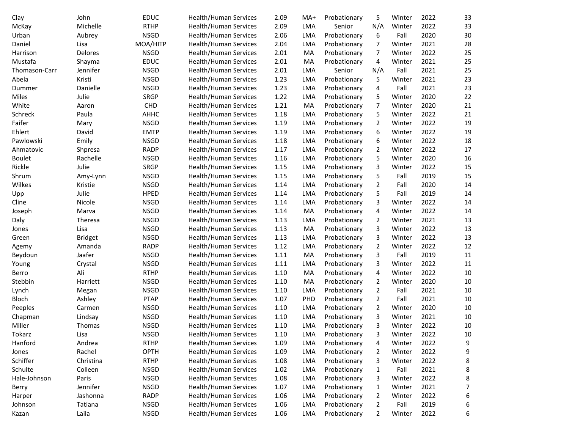| Clay          | John           | <b>EDUC</b> | Health/Human Services        | 2.09 | MA+ | Probationary | 5              | Winter | 2022 | 33     |
|---------------|----------------|-------------|------------------------------|------|-----|--------------|----------------|--------|------|--------|
| McKay         | Michelle       | <b>RTHP</b> | <b>Health/Human Services</b> | 2.09 | LMA | Senior       | N/A            | Winter | 2022 | 33     |
| Urban         | Aubrey         | <b>NSGD</b> | Health/Human Services        | 2.06 | LMA | Probationary | 6              | Fall   | 2020 | 30     |
| Daniel        | Lisa           | MOA/HITP    | Health/Human Services        | 2.04 | LMA | Probationary | 7              | Winter | 2021 | 28     |
| Harrison      | Delores        | <b>NSGD</b> | Health/Human Services        | 2.01 | MA  | Probationary | 7              | Winter | 2022 | 25     |
| Mustafa       | Shayma         | <b>EDUC</b> | Health/Human Services        | 2.01 | MA  | Probationary | 4              | Winter | 2021 | 25     |
| Thomason-Carr | Jennifer       | <b>NSGD</b> | Health/Human Services        | 2.01 | LMA | Senior       | N/A            | Fall   | 2021 | 25     |
| Abela         | Kristi         | <b>NSGD</b> | Health/Human Services        | 1.23 | LMA | Probationary | 5              | Winter | 2021 | 23     |
| Dummer        | Danielle       | <b>NSGD</b> | <b>Health/Human Services</b> | 1.23 | LMA | Probationary | 4              | Fall   | 2021 | 23     |
| Miles         | Julie          | <b>SRGP</b> | Health/Human Services        | 1.22 | LMA | Probationary | 5              | Winter | 2020 | 22     |
| White         | Aaron          | CHD         | Health/Human Services        | 1.21 | MA  | Probationary | 7              | Winter | 2020 | 21     |
| Schreck       | Paula          | AHHC        | Health/Human Services        | 1.18 | LMA | Probationary | 5              | Winter | 2022 | 21     |
| Faifer        | Mary           | <b>NSGD</b> | Health/Human Services        | 1.19 | LMA | Probationary | 2              | Winter | 2022 | 19     |
| Ehlert        | David          | <b>EMTP</b> | Health/Human Services        | 1.19 | LMA | Probationary | 6              | Winter | 2022 | 19     |
| Pawlowski     | Emily          | <b>NSGD</b> | Health/Human Services        | 1.18 | LMA | Probationary | 6              | Winter | 2022 | 18     |
| Ahmatovic     | Shpresa        | <b>RADP</b> | Health/Human Services        | 1.17 | LMA | Probationary | 2              | Winter | 2022 | 17     |
| <b>Boulet</b> | Rachelle       | <b>NSGD</b> | Health/Human Services        | 1.16 | LMA | Probationary | 5              | Winter | 2020 | 16     |
| Rickle        | Julie          | <b>SRGP</b> | Health/Human Services        | 1.15 | LMA | Probationary | 3              | Winter | 2022 | 15     |
| Shrum         | Amy-Lynn       | <b>NSGD</b> | Health/Human Services        | 1.15 | LMA | Probationary | 5              | Fall   | 2019 | 15     |
| Wilkes        | Kristie        | <b>NSGD</b> | Health/Human Services        | 1.14 | LMA | Probationary | 2              | Fall   | 2020 | 14     |
| Upp           | Julie          | HPED        | <b>Health/Human Services</b> | 1.14 | LMA | Probationary | 5              | Fall   | 2019 | 14     |
| Cline         | Nicole         | <b>NSGD</b> | Health/Human Services        | 1.14 | LMA | Probationary | 3              | Winter | 2022 | 14     |
| Joseph        | Marva          | <b>NSGD</b> | Health/Human Services        | 1.14 | MA  | Probationary | 4              | Winter | 2022 | 14     |
| Daly          | Theresa        | <b>NSGD</b> | Health/Human Services        | 1.13 | LMA | Probationary | 2              | Winter | 2021 | 13     |
| Jones         | Lisa           | <b>NSGD</b> | Health/Human Services        | 1.13 | MA  | Probationary | 3              | Winter | 2022 | 13     |
| Green         | <b>Bridget</b> | <b>NSGD</b> | Health/Human Services        | 1.13 | LMA | Probationary | 3              | Winter | 2022 | 13     |
| Agemy         | Amanda         | <b>RADP</b> | Health/Human Services        | 1.12 | LMA | Probationary | $\overline{2}$ | Winter | 2022 | 12     |
| Beydoun       | Jaafer         | <b>NSGD</b> | Health/Human Services        | 1.11 | MA  | Probationary | 3              | Fall   | 2019 | $11\,$ |
| Young         | Crystal        | <b>NSGD</b> | Health/Human Services        | 1.11 | LMA | Probationary | 3              | Winter | 2022 | $11\,$ |
| Berro         | Ali            | <b>RTHP</b> | Health/Human Services        | 1.10 | MA  | Probationary | 4              | Winter | 2022 | 10     |
| Stebbin       | Harriett       | <b>NSGD</b> | Health/Human Services        | 1.10 | MA  | Probationary | 2              | Winter | 2020 | 10     |
| Lynch         | Megan          | <b>NSGD</b> | Health/Human Services        | 1.10 | LMA | Probationary | 2              | Fall   | 2021 | 10     |
| Bloch         | Ashley         | <b>PTAP</b> | Health/Human Services        | 1.07 | PHD | Probationary | 2              | Fall   | 2021 | 10     |
| Peeples       | Carmen         | <b>NSGD</b> | Health/Human Services        | 1.10 | LMA | Probationary | 2              | Winter | 2020 | 10     |
| Chapman       | Lindsay        | <b>NSGD</b> | <b>Health/Human Services</b> | 1.10 | LMA | Probationary | 3              | Winter | 2021 | 10     |
| Miller        | Thomas         | <b>NSGD</b> | <b>Health/Human Services</b> | 1.10 | LMA | Probationary | 3              | Winter | 2022 | 10     |
| Tokarz        | Lisa           | <b>NSGD</b> | Health/Human Services        | 1.10 | LMA | Probationary | 3              | Winter | 2022 | 10     |
| Hanford       | Andrea         | <b>RTHP</b> | Health/Human Services        | 1.09 | LMA | Probationary | 4              | Winter | 2022 | 9      |
| Jones         | Rachel         | OPTH        | <b>Health/Human Services</b> | 1.09 | LMA | Probationary | 2              | Winter | 2022 | 9      |
| Schiffer      | Christina      | <b>RTHP</b> | <b>Health/Human Services</b> | 1.08 | LMA | Probationary | 3              | Winter | 2022 | 8      |
| Schulte       | Colleen        | <b>NSGD</b> | Health/Human Services        | 1.02 | LMA | Probationary | 1              | Fall   | 2021 | 8      |
| Hale-Johnson  | Paris          | <b>NSGD</b> | Health/Human Services        | 1.08 | LMA | Probationary | 3              | Winter | 2022 | 8      |
| Berry         | Jennifer       | <b>NSGD</b> | Health/Human Services        | 1.07 | LMA | Probationary | 1              | Winter | 2021 | 7      |
| Harper        | Jashonna       | <b>RADP</b> | Health/Human Services        | 1.06 | LMA | Probationary | 2              | Winter | 2022 | 6      |
| Johnson       | Tatiana        | <b>NSGD</b> | Health/Human Services        | 1.06 | LMA | Probationary | 2              | Fall   | 2019 | 6      |
| Kazan         | Laila          | <b>NSGD</b> | Health/Human Services        | 1.06 | LMA | Probationary | $\overline{2}$ | Winter | 2022 | 6      |
|               |                |             |                              |      |     |              |                |        |      |        |